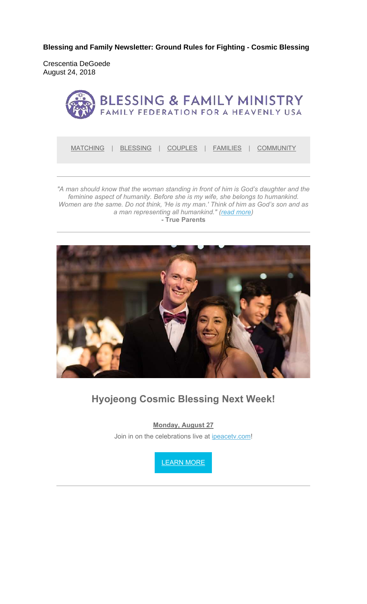**Blessing and Family Newsletter: Ground Rules for Fighting - Cosmic Blessing** 

Crescentia DeGoede August 24, 2018



MATCHING | BLESSING | COUPLES | FAMILIES | COMMUNITY

*"A man should know that the woman standing in front of him is God's daughter and the feminine aspect of humanity. Before she is my wife, she belongs to humankind. Women are the same. Do not think, 'He is my man.' Think of him as God's son and as a man representing all humankind." (read more)* **- True Parents**



#### **Hyojeong Cosmic Blessing Next Week!**

**Monday, August 27**

Join in on the celebrations live at ipeacetv.com!

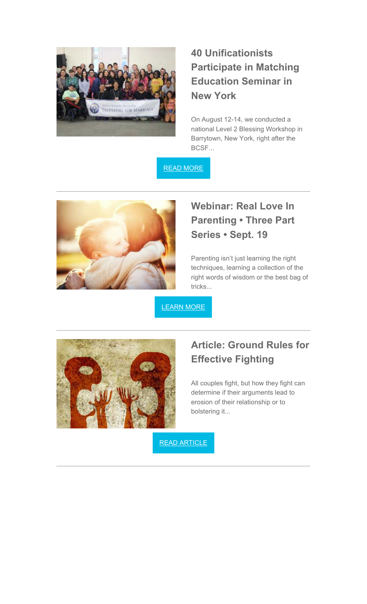

## **40 Unificationists Participate in Matching Education Seminar in New York**

On August 12-14, we conducted a national Level 2 Blessing Workshop in Barrytown, New York, right after the BCSF...

READ MORE



## **Webinar: Real Love In Parenting • Three Part Series • Sept. 19**

Parenting isn't just learning the right techniques, learning a collection of the right words of wisdom or the best bag of tricks...

LEARN MORE



# **Article: Ground Rules for Effective Fighting**

All couples fight, but how they fight can determine if their arguments lead to erosion of their relationship or to bolstering it...

READ ARTICLE